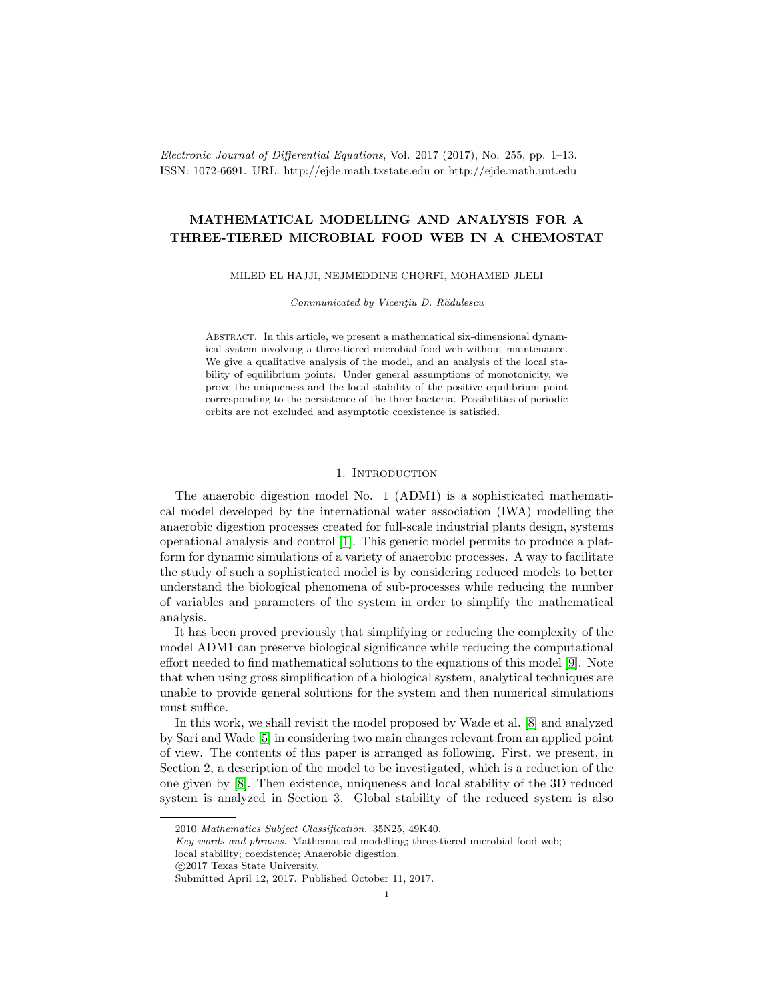Electronic Journal of Differential Equations, Vol. 2017 (2017), No. 255, pp. 1–13. ISSN: 1072-6691. URL: http://ejde.math.txstate.edu or http://ejde.math.unt.edu

## MATHEMATICAL MODELLING AND ANALYSIS FOR A THREE-TIERED MICROBIAL FOOD WEB IN A CHEMOSTAT

#### MILED EL HAJJI, NEJMEDDINE CHORFI, MOHAMED JLELI

Communicated by Vicentiu D. Rădulescu

Abstract. In this article, we present a mathematical six-dimensional dynamical system involving a three-tiered microbial food web without maintenance. We give a qualitative analysis of the model, and an analysis of the local stability of equilibrium points. Under general assumptions of monotonicity, we prove the uniqueness and the local stability of the positive equilibrium point corresponding to the persistence of the three bacteria. Possibilities of periodic orbits are not excluded and asymptotic coexistence is satisfied.

### 1. INTRODUCTION

The anaerobic digestion model No. 1 (ADM1) is a sophisticated mathematical model developed by the international water association (IWA) modelling the anaerobic digestion processes created for full-scale industrial plants design, systems operational analysis and control [\[1\]](#page-11-0). This generic model permits to produce a platform for dynamic simulations of a variety of anaerobic processes. A way to facilitate the study of such a sophisticated model is by considering reduced models to better understand the biological phenomena of sub-processes while reducing the number of variables and parameters of the system in order to simplify the mathematical analysis.

It has been proved previously that simplifying or reducing the complexity of the model ADM1 can preserve biological significance while reducing the computational effort needed to find mathematical solutions to the equations of this model [\[9\]](#page-12-0). Note that when using gross simplification of a biological system, analytical techniques are unable to provide general solutions for the system and then numerical simulations must suffice.

In this work, we shall revisit the model proposed by Wade et al. [\[8\]](#page-12-1) and analyzed by Sari and Wade [\[5\]](#page-11-1) in considering two main changes relevant from an applied point of view. The contents of this paper is arranged as following. First, we present, in Section 2, a description of the model to be investigated, which is a reduction of the one given by [\[8\]](#page-12-1). Then existence, uniqueness and local stability of the 3D reduced system is analyzed in Section 3. Global stability of the reduced system is also

<sup>2010</sup> Mathematics Subject Classification. 35N25, 49K40.

Key words and phrases. Mathematical modelling; three-tiered microbial food web; local stability; coexistence; Anaerobic digestion.

c 2017 Texas State University.

Submitted April 12, 2017. Published October 11, 2017.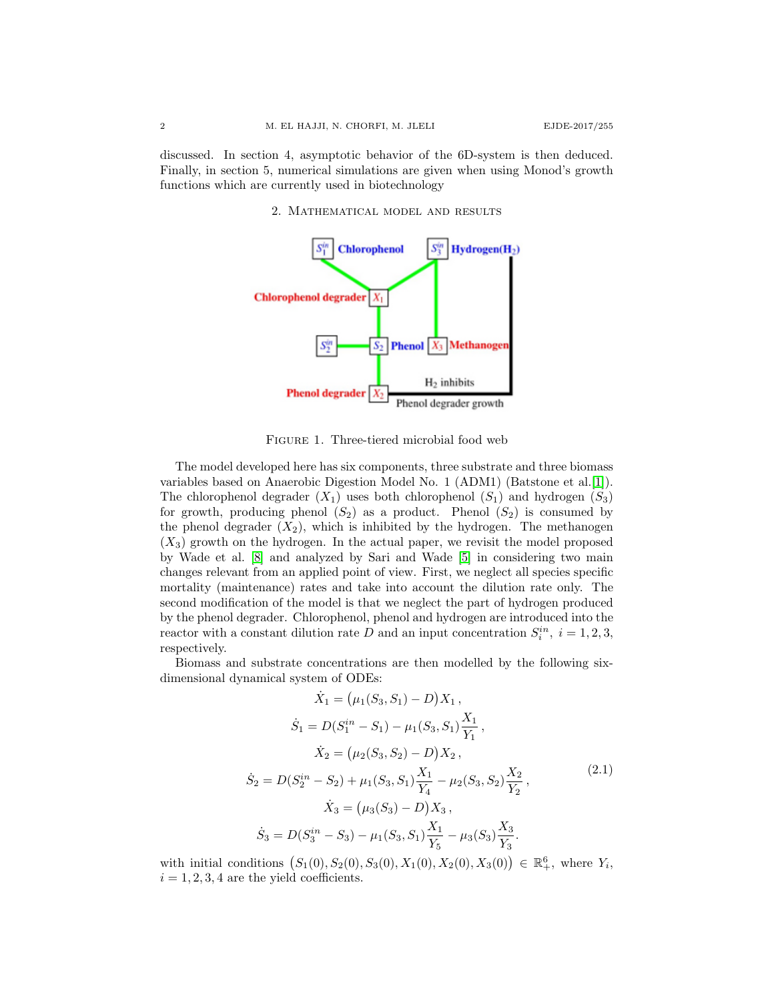discussed. In section 4, asymptotic behavior of the 6D-system is then deduced. Finally, in section 5, numerical simulations are given when using Monod's growth functions which are currently used in biotechnology

2. Mathematical model and results



<span id="page-1-1"></span>Figure 1. Three-tiered microbial food web

The model developed here has six components, three substrate and three biomass variables based on Anaerobic Digestion Model No. 1 (ADM1) (Batstone et al.[\[1\]](#page-11-0)). The chlorophenol degrader  $(X_1)$  uses both chlorophenol  $(S_1)$  and hydrogen  $(S_3)$ for growth, producing phenol  $(S_2)$  as a product. Phenol  $(S_2)$  is consumed by the phenol degrader  $(X_2)$ , which is inhibited by the hydrogen. The methanogen  $(X_3)$  growth on the hydrogen. In the actual paper, we revisit the model proposed by Wade et al. [\[8\]](#page-12-1) and analyzed by Sari and Wade [\[5\]](#page-11-1) in considering two main changes relevant from an applied point of view. First, we neglect all species specific mortality (maintenance) rates and take into account the dilution rate only. The second modification of the model is that we neglect the part of hydrogen produced by the phenol degrader. Chlorophenol, phenol and hydrogen are introduced into the reactor with a constant dilution rate D and an input concentration  $S_i^{in}$ ,  $i = 1, 2, 3$ , respectively.

Biomass and substrate concentrations are then modelled by the following sixdimensional dynamical system of ODEs:

<span id="page-1-0"></span>
$$
\dot{X}_1 = (\mu_1(S_3, S_1) - D)X_1,
$$
\n
$$
\dot{S}_1 = D(S_1^{in} - S_1) - \mu_1(S_3, S_1) \frac{X_1}{Y_1},
$$
\n
$$
\dot{X}_2 = (\mu_2(S_3, S_2) - D)X_2,
$$
\n
$$
\dot{S}_2 = D(S_2^{in} - S_2) + \mu_1(S_3, S_1) \frac{X_1}{Y_4} - \mu_2(S_3, S_2) \frac{X_2}{Y_2},
$$
\n
$$
\dot{X}_3 = (\mu_3(S_3) - D)X_3,
$$
\n
$$
\dot{S}_3 = D(S_3^{in} - S_3) - \mu_1(S_3, S_1) \frac{X_1}{Y_5} - \mu_3(S_3) \frac{X_3}{Y_3}.
$$
\n(2.1)

with initial conditions  $(S_1(0), S_2(0), S_3(0), X_1(0), X_2(0), X_3(0)) \in \mathbb{R}^6_+$ , where  $Y_i$ ,  $i = 1, 2, 3, 4$  are the yield coefficients.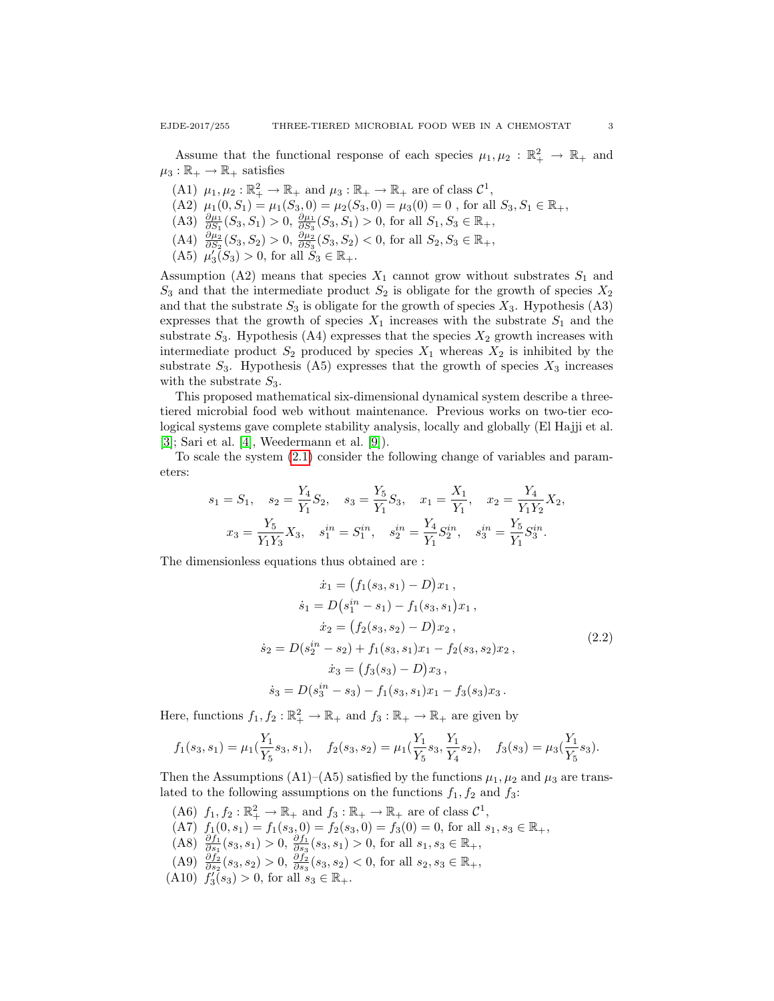Assume that the functional response of each species  $\mu_1, \mu_2 : \mathbb{R}_+^2 \to \mathbb{R}_+$  and  $\mu_3 : \mathbb{R}_+ \to \mathbb{R}_+$  satisfies

- (A1)  $\mu_1, \mu_2 : \mathbb{R}_+^2 \to \mathbb{R}_+$  and  $\mu_3 : \mathbb{R}_+ \to \mathbb{R}_+$  are of class  $\mathcal{C}^1$ ,
- (A2)  $\mu_1(0, S_1) = \mu_1(S_3, 0) = \mu_2(S_3, 0) = \mu_3(0) = 0$ , for all  $S_3, S_1 \in \mathbb{R}_+$ ,
- (A3)  $\frac{\partial \mu_1}{\partial S_1}(S_3, S_1) > 0, \frac{\partial \mu_1}{\partial S_3}(S_3, S_1) > 0$ , for all  $S_1, S_3 \in \mathbb{R}_+$ ,
- (A4)  $\frac{\partial \mu_2}{\partial S_2}(S_3, S_2) > 0$ ,  $\frac{\partial \mu_2}{\partial S_3}(S_3, S_2) < 0$ , for all  $S_2, S_3 \in \mathbb{R}_+$ ,
- (A5)  $\mu_3^7(S_3) > 0$ , for all  $S_3 \in \mathbb{R}_+$ .

Assumption (A2) means that species  $X_1$  cannot grow without substrates  $S_1$  and  $S_3$  and that the intermediate product  $S_2$  is obligate for the growth of species  $X_2$ and that the substrate  $S_3$  is obligate for the growth of species  $X_3$ . Hypothesis (A3) expresses that the growth of species  $X_1$  increases with the substrate  $S_1$  and the substrate  $S_3$ . Hypothesis (A4) expresses that the species  $X_2$  growth increases with intermediate product  $S_2$  produced by species  $X_1$  whereas  $X_2$  is inhibited by the substrate  $S_3$ . Hypothesis (A5) expresses that the growth of species  $X_3$  increases with the substrate  $S_3$ .

This proposed mathematical six-dimensional dynamical system describe a threetiered microbial food web without maintenance. Previous works on two-tier ecological systems gave complete stability analysis, locally and globally (El Hajji et al. [\[3\]](#page-11-2); Sari et al. [\[4\]](#page-11-3), Weedermann et al. [\[9\]](#page-12-0)).

To scale the system [\(2.1\)](#page-1-0) consider the following change of variables and parameters:

$$
s_1 = S_1, \quad s_2 = \frac{Y_4}{Y_1} S_2, \quad s_3 = \frac{Y_5}{Y_1} S_3, \quad x_1 = \frac{X_1}{Y_1}, \quad x_2 = \frac{Y_4}{Y_1 Y_2} X_2,
$$

$$
x_3 = \frac{Y_5}{Y_1 Y_3} X_3, \quad s_1^{in} = S_1^{in}, \quad s_2^{in} = \frac{Y_4}{Y_1} S_2^{in}, \quad s_3^{in} = \frac{Y_5}{Y_1} S_3^{in}.
$$

The dimensionless equations thus obtained are :

<span id="page-2-0"></span>
$$
\begin{aligned}\n\dot{x}_1 &= \left( f_1(s_3, s_1) - D \right) x_1, \\
\dot{s}_1 &= D \left( s_1^{in} - s_1 \right) - f_1(s_3, s_1) x_1, \\
\dot{x}_2 &= \left( f_2(s_3, s_2) - D \right) x_2, \\
\dot{s}_2 &= D \left( s_2^{in} - s_2 \right) + f_1(s_3, s_1) x_1 - f_2(s_3, s_2) x_2, \\
\dot{x}_3 &= \left( f_3(s_3) - D \right) x_3, \\
\dot{s}_3 &= D \left( s_3^{in} - s_3 \right) - f_1(s_3, s_1) x_1 - f_3(s_3) x_3.\n\end{aligned} \tag{2.2}
$$

Here, functions  $f_1, f_2 : \mathbb{R}_+^2 \to \mathbb{R}_+$  and  $f_3 : \mathbb{R}_+ \to \mathbb{R}_+$  are given by

$$
f_1(s_3, s_1) = \mu_1(\frac{Y_1}{Y_5}s_3, s_1), \quad f_2(s_3, s_2) = \mu_1(\frac{Y_1}{Y_5}s_3, \frac{Y_1}{Y_4}s_2), \quad f_3(s_3) = \mu_3(\frac{Y_1}{Y_5}s_3).
$$

Then the Assumptions (A1)–(A5) satisfied by the functions  $\mu_1, \mu_2$  and  $\mu_3$  are translated to the following assumptions on the functions  $f_1, f_2$  and  $f_3$ :

- (A6)  $f_1, f_2 : \mathbb{R}_+^2 \to \mathbb{R}_+$  and  $f_3 : \mathbb{R}_+ \to \mathbb{R}_+$  are of class  $\mathcal{C}^1$ ,
- (A7)  $f_1(0, s_1) = f_1(s_3, 0) = f_2(s_3, 0) = f_3(0) = 0$ , for all  $s_1, s_3 \in \mathbb{R}_+$ ,
- (A8)  $\frac{\partial f_1}{\partial s_1}(s_3, s_1) > 0, \frac{\partial f_1}{\partial s_3}(s_3, s_1) > 0$ , for all  $s_1, s_3 \in \mathbb{R}_+$ ,
- (A9)  $\frac{\partial f_2}{\partial s_2}(s_3, s_2) > 0$ ,  $\frac{\partial f_2}{\partial s_3}(s_3, s_2) < 0$ , for all  $s_2, s_3 \in \mathbb{R}_+$ ,
- (A10)  $f'_3(s_3) > 0$ , for all  $s_3 \in \mathbb{R}_+$ .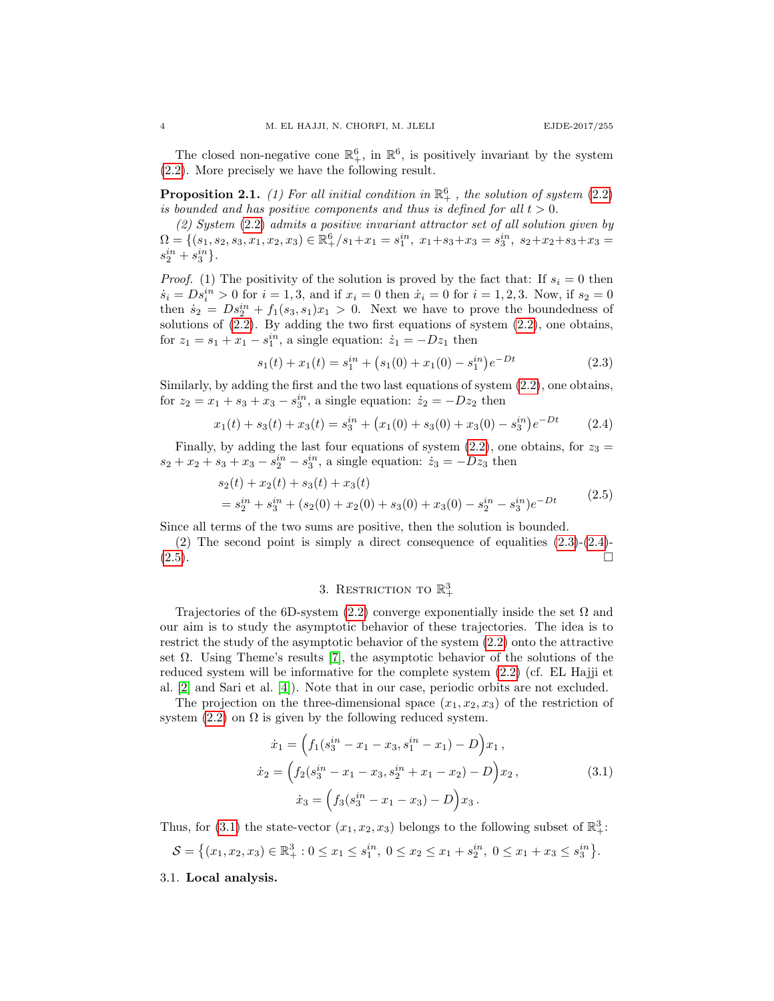The closed non-negative cone  $\mathbb{R}^6_+$ , in  $\mathbb{R}^6$ , is positively invariant by the system [\(2.2\)](#page-2-0). More precisely we have the following result.

**Proposition 2.1.** (1) For all initial condition in  $\mathbb{R}^6_+$ , the solution of system [\(2.2\)](#page-2-0) is bounded and has positive components and thus is defined for all  $t > 0$ .

(2) System [\(2.2\)](#page-2-0) admits a positive invariant attractor set of all solution given by  $\Omega = \{ (s_1, s_2, s_3, x_1, x_2, x_3) \in \mathbb{R}_+^6 / s_1 + x_1 = s_1^{in}, \ x_1 + s_3 + x_3 = s_3^{in}, \ s_2 + x_2 + s_3 + x_3 = s_3^{in} \}$  $s_2^{in} + s_3^{in}$ .

*Proof.* (1) The positivity of the solution is proved by the fact that: If  $s_i = 0$  then  $\dot{s}_i = D s_i^{in} > 0$  for  $i = 1, 3$ , and if  $x_i = 0$  then  $\dot{x}_i = 0$  for  $i = 1, 2, 3$ . Now, if  $s_2 = 0$ then  $\dot{s}_2 = Ds_2^{in} + f_1(s_3, s_1)x_1 > 0$ . Next we have to prove the boundedness of solutions of [\(2.2\)](#page-2-0). By adding the two first equations of system [\(2.2\)](#page-2-0), one obtains, for  $z_1 = s_1 + x_1 - s_1^{in}$ , a single equation:  $\dot{z}_1 = -Dz_1$  then

<span id="page-3-0"></span>
$$
s_1(t) + x_1(t) = s_1^{in} + (s_1(0) + x_1(0) - s_1^{in})e^{-Dt}
$$
\n(2.3)

Similarly, by adding the first and the two last equations of system [\(2.2\)](#page-2-0), one obtains, for  $z_2 = x_1 + s_3 + x_3 - s_3^{in}$ , a single equation:  $\dot{z}_2 = -Dz_2$  then

<span id="page-3-1"></span>
$$
x_1(t) + s_3(t) + x_3(t) = s_3^{in} + (x_1(0) + s_3(0) + x_3(0) - s_3^{in})e^{-Dt}
$$
 (2.4)

Finally, by adding the last four equations of system [\(2.2\)](#page-2-0), one obtains, for  $z_3 =$  $s_2 + x_2 + s_3 + x_3 - s_2^{in} - s_3^{in}$ , a single equation:  $\dot{z}_3 = -Dz_3$  then

<span id="page-3-2"></span>
$$
s_2(t) + x_2(t) + s_3(t) + x_3(t)
$$
  
=  $s_2^{in} + s_3^{in} + (s_2(0) + x_2(0) + s_3(0) + x_3(0) - s_2^{in} - s_3^{in})e^{-Dt}$  (2.5)

Since all terms of the two sums are positive, then the solution is bounded.

(2) The second point is simply a direct consequence of equalities [\(2.3\)](#page-3-0)-[\(2.4\)](#page-3-1)-  $(2.5)$ .

# 3. RESTRICTION TO  $\mathbb{R}^3_+$

Trajectories of the 6D-system [\(2.2\)](#page-2-0) converge exponentially inside the set  $\Omega$  and our aim is to study the asymptotic behavior of these trajectories. The idea is to restrict the study of the asymptotic behavior of the system [\(2.2\)](#page-2-0) onto the attractive set  $\Omega$ . Using Theme's results [\[7\]](#page-11-4), the asymptotic behavior of the solutions of the reduced system will be informative for the complete system [\(2.2\)](#page-2-0) (cf. EL Hajji et al. [\[2\]](#page-11-5) and Sari et al. [\[4\]](#page-11-3)). Note that in our case, periodic orbits are not excluded.

The projection on the three-dimensional space  $(x_1, x_2, x_3)$  of the restriction of system [\(2.2\)](#page-2-0) on  $\Omega$  is given by the following reduced system.

<span id="page-3-3"></span>
$$
\dot{x}_1 = \left( f_1(s_3^{in} - x_1 - x_3, s_1^{in} - x_1) - D \right) x_1 ,
$$
  
\n
$$
\dot{x}_2 = \left( f_2(s_3^{in} - x_1 - x_3, s_2^{in} + x_1 - x_2) - D \right) x_2 ,
$$
  
\n
$$
\dot{x}_3 = \left( f_3(s_3^{in} - x_1 - x_3) - D \right) x_3 .
$$
\n(3.1)

Thus, for [\(3.1\)](#page-3-3) the state-vector  $(x_1, x_2, x_3)$  belongs to the following subset of  $\mathbb{R}^3_+$ :

$$
\mathcal{S} = \left\{ (x_1, x_2, x_3) \in \mathbb{R}_+^3 : 0 \le x_1 \le s_1^{in}, \ 0 \le x_2 \le x_1 + s_2^{in}, \ 0 \le x_1 + x_3 \le s_3^{in} \right\}.
$$

3.1. Local analysis.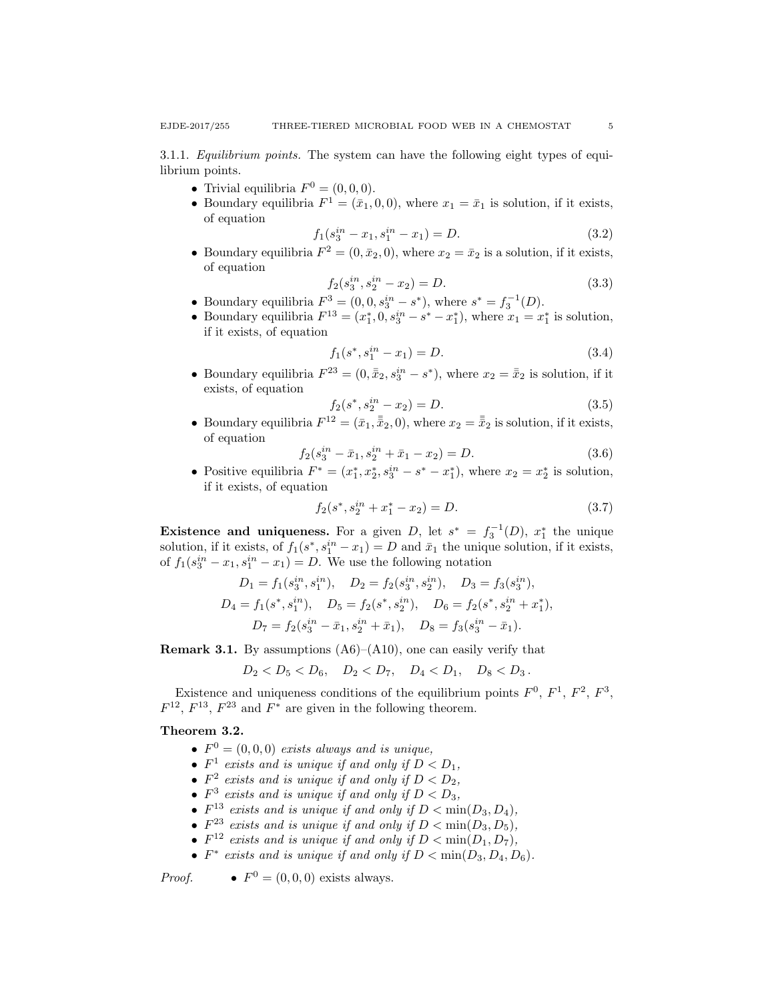3.1.1. Equilibrium points. The system can have the following eight types of equilibrium points.

- Trivial equilibria  $F^0 = (0,0,0)$ .
- Boundary equilibria  $F^1 = (\bar{x}_1, 0, 0)$ , where  $x_1 = \bar{x}_1$  is solution, if it exists, of equation

$$
f_1(s_3^{in} - x_1, s_1^{in} - x_1) = D.
$$
\n(3.2)

• Boundary equilibria  $F^2 = (0, \bar{x}_2, 0)$ , where  $x_2 = \bar{x}_2$  is a solution, if it exists, of equation

$$
f_2(s_3^{in}, s_2^{in} - x_2) = D.
$$
 (3.3)

- Boundary equilibria  $F^3 = (0, 0, s_3^{in} s^*)$ , where  $s^* = f_3^{-1}(D)$ .
- Boundary equilibria  $F^{13} = (x_1^*, 0, s_3^{in} s^* x_1^*),$  where  $x_1 = x_1^*$  is solution, if it exists, of equation

$$
f_1(s^*, s_1^{in} - x_1) = D. \tag{3.4}
$$

• Boundary equilibria  $F^{23} = (0, \bar{\bar{x}}_2, s_3^{in} - s^*)$ , where  $x_2 = \bar{\bar{x}}_2$  is solution, if it exists, of equation

$$
f_2(s^*, s_2^{in} - x_2) = D.
$$
\n(3.5)

• Boundary equilibria  $F^{12} = (\bar{x}_1, \bar{\bar{x}}_2, 0)$ , where  $x_2 = \bar{\bar{x}}_2$  is solution, if it exists, of equation

$$
f_2(s_3^{in} - \bar{x}_1, s_2^{in} + \bar{x}_1 - x_2) = D.
$$
 (3.6)

• Positive equilibria  $F^* = (x_1^*, x_2^*, s_3^{in} - s^* - x_1^*)$ , where  $x_2 = x_2^*$  is solution, if it exists, of equation

$$
f_2(s^*, s_2^{in} + x_1^* - x_2) = D.
$$
 (3.7)

Existence and uniqueness. For a given D, let  $s^* = f_3^{-1}(D)$ ,  $x_1^*$  the unique solution, if it exists, of  $f_1(s^*, s_1^{in} - x_1) = D$  and  $\bar{x}_1$  the unique solution, if it exists, of  $f_1(s_3^{in} - x_1, s_1^{in} - x_1) = D$ . We use the following notation

$$
D_1 = f_1(s_3^{in}, s_1^{in}), \quad D_2 = f_2(s_3^{in}, s_2^{in}), \quad D_3 = f_3(s_3^{in}),
$$
  
\n
$$
D_4 = f_1(s^*, s_1^{in}), \quad D_5 = f_2(s^*, s_2^{in}), \quad D_6 = f_2(s^*, s_2^{in} + x_1^*),
$$
  
\n
$$
D_7 = f_2(s_3^{in} - \bar{x}_1, s_2^{in} + \bar{x}_1), \quad D_8 = f_3(s_3^{in} - \bar{x}_1).
$$

**Remark 3.1.** By assumptions  $(A6)$ – $(A10)$ , one can easily verify that

$$
D_2 < D_5 < D_6, \quad D_2 < D_7, \quad D_4 < D_1, \quad D_8 < D_3.
$$

Existence and uniqueness conditions of the equilibrium points  $F^0$ ,  $F^1$ ,  $F^2$ ,  $F^3$ ,  $F^{12}$ ,  $F^{13}$ ,  $F^{23}$  and  $F^*$  are given in the following theorem.

### Theorem 3.2.

- $F^0 = (0, 0, 0)$  exists always and is unique,
- $F^1$  exists and is unique if and only if  $D < D_1$ ,
- $F^2$  exists and is unique if and only if  $D < D_2$ ,
- $F^3$  exists and is unique if and only if  $D < D_3$ ,
- $F^{13}$  exists and is unique if and only if  $D < \min(D_3, D_4)$ ,
- $F^{23}$  exists and is unique if and only if  $D < \min(D_3, D_5)$ ,
- $F^{12}$  exists and is unique if and only if  $D < \min(D_1, D_7)$ ,
- $F^*$  exists and is unique if and only if  $D < \min(D_3, D_4, D_6)$ .

Proof. •  $F^0 = (0, 0, 0)$  exists always.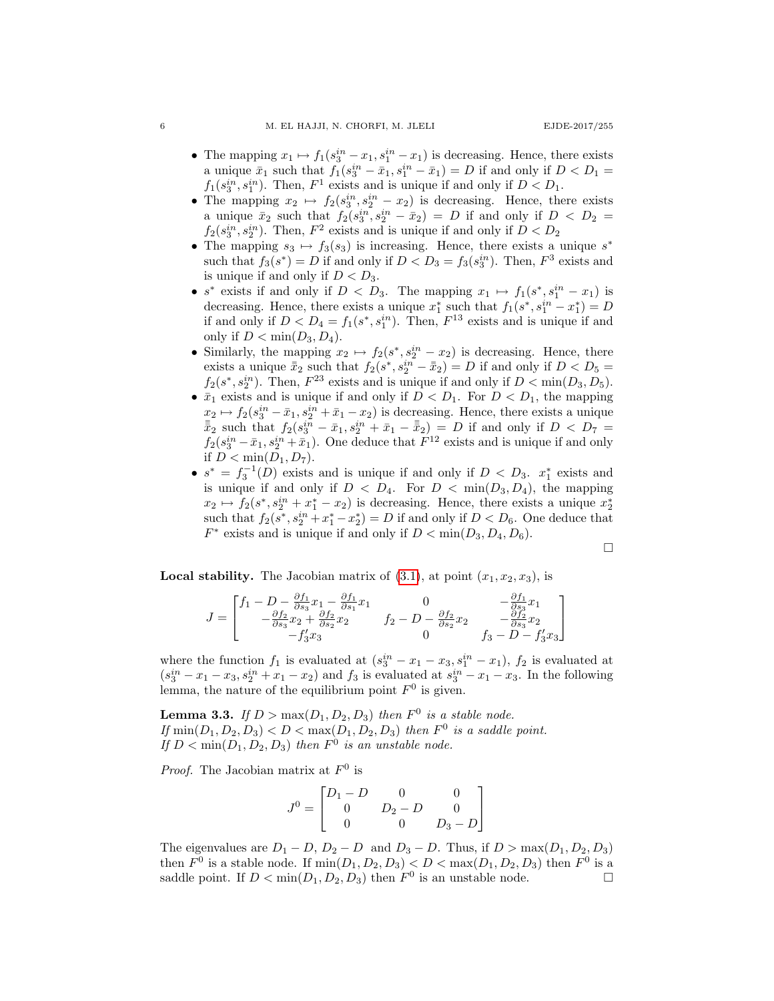- The mapping  $x_1 \mapsto f_1(s_3^{in} x_1, s_1^{in} x_1)$  is decreasing. Hence, there exists a unique  $\bar{x}_1$  such that  $f_1(s_3^{in} - \bar{x}_1, s_1^{in} - \bar{x}_1) = D$  if and only if  $D < D_1 =$  $f_1(s_3^{in}, s_1^{in})$ . Then,  $F^1$  exists and is unique if and only if  $D < D_1$ .
- The mapping  $x_2 \mapsto f_2(s_3^{in}, s_2^{in} x_2)$  is decreasing. Hence, there exists a unique  $\bar{x}_2$  such that  $f_2(s_3^{in}, s_2^{in} - \bar{x}_2) = D$  if and only if  $D < D_2$  $f_2(s_3^{in}, s_2^{in})$ . Then,  $F^2$  exists and is unique if and only if  $D < D_2$
- The mapping  $s_3 \mapsto f_3(s_3)$  is increasing. Hence, there exists a unique  $s^*$ such that  $f_3(s^*) = D$  if and only if  $D < D_3 = f_3(s_3^{in})$ . Then,  $F^3$  exists and is unique if and only if  $D < D_3$ .
- $s^*$  exists if and only if  $D < D_3$ . The mapping  $x_1 \mapsto f_1(s^*, s_1^{in} x_1)$  is decreasing. Hence, there exists a unique  $x_1^*$  such that  $f_1(s^*, s_1^{in} - x_1^*) = D$ if and only if  $D < D_4 = f_1(s^*, s_1^{in})$ . Then,  $F^{13}$  exists and is unique if and only if  $D < \min(D_3, D_4)$ .
- Similarly, the mapping  $x_2 \mapsto f_2(s^*, s_2^{in} x_2)$  is decreasing. Hence, there exists a unique  $\bar{\bar{x}}_2$  such that  $f_2(s^*, s_2^{in} - \bar{\bar{x}}_2) = D$  if and only if  $D < D_5 =$  $f_2(s^*, s_2^{in})$ . Then,  $F^{23}$  exists and is unique if and only if  $D < \min(D_3, D_5)$ .
- $\bar{x}_1$  exists and is unique if and only if  $D < D_1$ . For  $D < D_1$ , the mapping  $x_2 \mapsto f_2(s_3^{in} - \bar{x}_1, s_2^{in} + \bar{x}_1 - x_2)$  is decreasing. Hence, there exists a unique  $\bar{\bar{x}}_2$  such that  $f_2(s_3^{in} - \bar{x}_1, s_2^{in} + \bar{x}_1 - \bar{\bar{x}}_2) = D$  if and only if  $D < D_7$  $f_2(s_3^{in} - \bar{x}_1, s_2^{in} + \bar{x}_1)$ . One deduce that  $F^{12}$  exists and is unique if and only if  $D < \min(D_1, D_7)$ .
- $s^* = f_3^{-1}(D)$  exists and is unique if and only if  $D < D_3$ .  $x_1^*$  exists and is unique if and only if  $D < D_4$ . For  $D < \min(D_3, D_4)$ , the mapping  $x_2 \mapsto f_2(s^*, s_2^{in} + x_1^* - x_2)$  is decreasing. Hence, there exists a unique  $x_2^*$ such that  $f_2(s^*, s_2^{in} + x_1^* - x_2^*) = D$  if and only if  $D < D_6$ . One deduce that  $F^*$  exists and is unique if and only if  $D < \min(D_3, D_4, D_6)$ .

$$
\Box
$$

**Local stability.** The Jacobian matrix of  $(3.1)$ , at point  $(x_1, x_2, x_3)$ , is

$$
J = \begin{bmatrix} f_1 - D - \frac{\partial f_1}{\partial s_3} x_1 - \frac{\partial f_1}{\partial s_1} x_1 & 0 & -\frac{\partial f_1}{\partial s_3} x_1 \\ -\frac{\partial f_2}{\partial s_3} x_2 + \frac{\partial f_2}{\partial s_2} x_2 & f_2 - D - \frac{\partial f_2}{\partial s_2} x_2 & -\frac{\partial f_2}{\partial s_3} x_2 \\ -f_3' x_3 & 0 & f_3 - D - f_3' x_3 \end{bmatrix}
$$

where the function  $f_1$  is evaluated at  $(s_3^{in} - x_1 - x_3, s_1^{in} - x_1)$ ,  $f_2$  is evaluated at  $(s_3^{in} - x_1 - x_3, s_2^{in} + x_1 - x_2)$  and  $f_3$  is evaluated at  $s_3^{in} - x_1 - x_3$ . In the following lemma, the nature of the equilibrium point  $F^0$  is given.

**Lemma 3.3.** If  $D > max(D_1, D_2, D_3)$  then  $F^0$  is a stable node. If  $\min(D_1, D_2, D_3) < D < \max(D_1, D_2, D_3)$  then  $F^0$  is a saddle point. If  $D < \min(D_1, D_2, D_3)$  then  $F^0$  is an unstable node.

*Proof.* The Jacobian matrix at  $F^0$  is

$$
J^{0} = \begin{bmatrix} D_{1} - D & 0 & 0 \\ 0 & D_{2} - D & 0 \\ 0 & 0 & D_{3} - D \end{bmatrix}
$$

The eigenvalues are  $D_1 - D$ ,  $D_2 - D$  and  $D_3 - D$ . Thus, if  $D > \max(D_1, D_2, D_3)$ then  $F^0$  is a stable node. If  $\min(D_1, D_2, D_3) < D < \max(D_1, D_2, D_3)$  then  $F^0$  is a saddle point. If  $D < \min(D_1, D_2, D_3)$  then  $F^0$  is an unstable node.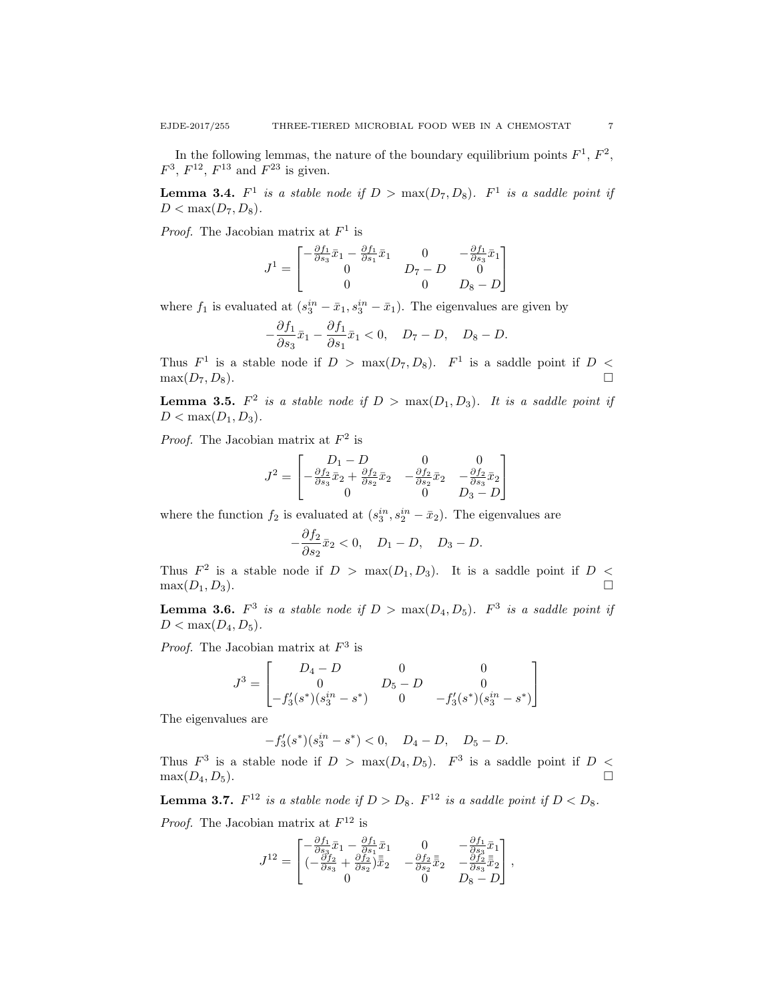In the following lemmas, the nature of the boundary equilibrium points  $F^1$ ,  $F^2$ ,  $F^3$ ,  $F^{12}$ ,  $F^{13}$  and  $F^{23}$  is given.

**Lemma 3.4.**  $F^1$  is a stable node if  $D > \max(D_7, D_8)$ .  $F^1$  is a saddle point if  $D < \max(D_7, D_8)$ .

*Proof.* The Jacobian matrix at  $F^1$  is

$$
J^1 = \begin{bmatrix} -\frac{\partial f_1}{\partial s_3}\bar{x}_1 - \frac{\partial f_1}{\partial s_1}\bar{x}_1 & 0 & -\frac{\partial f_1}{\partial s_3}\bar{x}_1\\ 0 & D_7-D & 0\\ 0 & 0 & D_8-D \end{bmatrix}
$$

where  $f_1$  is evaluated at  $(s_3^{in} - \bar{x}_1, s_3^{in} - \bar{x}_1)$ . The eigenvalues are given by

$$
-\frac{\partial f_1}{\partial s_3}\bar{x}_1 - \frac{\partial f_1}{\partial s_1}\bar{x}_1 < 0, \quad D_7 - D, \quad D_8 - D.
$$

Thus  $F^1$  is a stable node if  $D > \max(D_7, D_8)$ .  $F^1$  is a saddle point if  $D <$  $\max(D_7, D_8).$ 

**Lemma 3.5.**  $F^2$  is a stable node if  $D > \max(D_1, D_3)$ . It is a saddle point if  $D < \max(D_1, D_3)$ .

*Proof.* The Jacobian matrix at  $F^2$  is

$$
J^2 = \begin{bmatrix} D_1 - D & 0 & 0 \\ -\frac{\partial f_2}{\partial s_3} \bar{x}_2 + \frac{\partial f_2}{\partial s_2} \bar{x}_2 & -\frac{\partial f_2}{\partial s_2} \bar{x}_2 & -\frac{\partial f_2}{\partial s_3} \bar{x}_2 \\ 0 & 0 & D_3 - D \end{bmatrix}
$$

where the function  $f_2$  is evaluated at  $(s_3^{in}, s_2^{in} - \bar{x}_2)$ . The eigenvalues are

$$
-\frac{\partial f_2}{\partial s_2}\bar{x}_2 < 0, \quad D_1 - D, \quad D_3 - D.
$$

Thus  $F^2$  is a stable node if  $D > \max(D_1, D_3)$ . It is a saddle point if  $D <$  $\max(D_1, D_3).$ 

**Lemma 3.6.**  $F^3$  is a stable node if  $D > max(D_4, D_5)$ .  $F^3$  is a saddle point if  $D < \max(D_4, D_5)$ .

*Proof.* The Jacobian matrix at  $F^3$  is

$$
J^{3} = \begin{bmatrix} D_{4} - D & 0 & 0 \ 0 & D_{5} - D & 0 \ -f'_{3}(s^{*})(s_{3}^{in} - s^{*}) & 0 & -f'_{3}(s^{*})(s_{3}^{in} - s^{*}) \end{bmatrix}
$$

The eigenvalues are

$$
-f_3'(s^*)(s_3^{in} - s^*) < 0, \quad D_4 - D, \quad D_5 - D.
$$

Thus  $F^3$  is a stable node if  $D > \max(D_4, D_5)$ .  $F^3$  is a saddle point if  $D <$  $\max(D_4, D_5).$ 

**Lemma 3.7.**  $F^{12}$  is a stable node if  $D > D_8$ .  $F^{12}$  is a saddle point if  $D < D_8$ .

*Proof.* The Jacobian matrix at  $F^{12}$  is

$$
J^{12}=\begin{bmatrix} -\frac{\partial f_1}{\partial s_3}\bar{x}_1-\frac{\partial f_1}{\partial s_1}\bar{x}_1&0&-\frac{\partial f_1}{\partial s_3}\bar{x}_1\\ (-\frac{\partial f_2}{\partial s_3}+\frac{\partial f_2}{\partial s_2})\bar{\bar{x}}_2&-\frac{\partial f_2}{\partial s_2}\bar{\bar{x}}_2&-\frac{\partial f_2}{\partial s_3}\bar{\bar{x}}_2\\ 0&0&D_8-D \end{bmatrix},
$$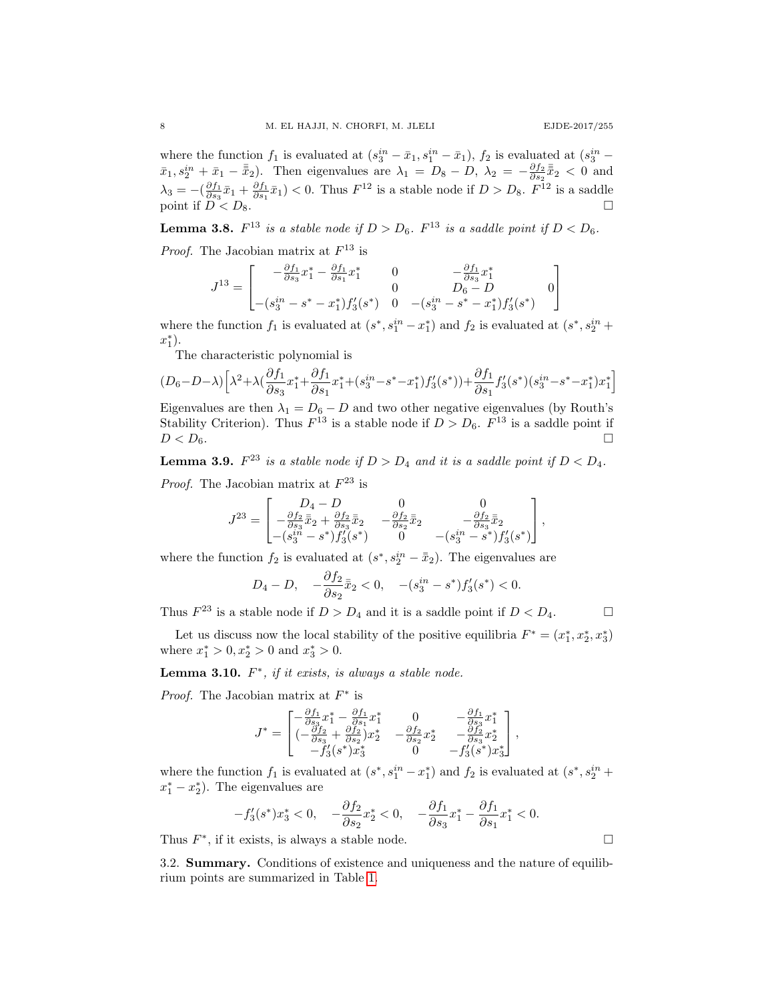where the function  $f_1$  is evaluated at  $(s_3^{in} - \bar{x}_1, s_1^{in} - \bar{x}_1)$ ,  $f_2$  is evaluated at  $(s_3^{in} \bar{x}_1, s_2^{in} + \bar{x}_1 - \bar{\bar{x}}_2$ . Then eigenvalues are  $\lambda_1 = D_8 - D$ ,  $\lambda_2 = -\frac{\partial f_2}{\partial s_2} \bar{\bar{x}}_2 < 0$  and  $\lambda_3 = -(\frac{\partial f_1}{\partial s_3}\bar{x}_1 + \frac{\partial f_1}{\partial s_1}\bar{x}_1) < 0$ . Thus  $F^{12}$  is a stable node if  $D > D_8$ .  $F^{12}$  is a saddle point if  $D^3 < D_8$ .

**Lemma 3.8.**  $F^{13}$  is a stable node if  $D > D_6$ .  $F^{13}$  is a saddle point if  $D < D_6$ .

*Proof.* The Jacobian matrix at  $F^{13}$  is

$$
J^{13} = \begin{bmatrix} -\frac{\partial f_1}{\partial s_3} x_1^* - \frac{\partial f_1}{\partial s_1} x_1^* & 0 & -\frac{\partial f_1}{\partial s_3} x_1^* \\ - (s_3^{in} - s^* - x_1^*) f_3'(s^*) & 0 & - (s_3^{in} - s^* - x_1^*) f_3'(s^*) \\ - (s_3^{in} - s^* - x_1^*) f_3'(s^*) & 0 & -(s_3^{in} - s^* - x_1^*) f_3'(s^*) \end{bmatrix}
$$

where the function  $f_1$  is evaluated at  $(s^*, s_1^{in} - x_1^*)$  and  $f_2$  is evaluated at  $(s^*, s_2^{in} +$  $x_1^*$ ).

The characteristic polynomial is

$$
(D_6 - D - \lambda) \left[ \lambda^2 + \lambda \left( \frac{\partial f_1}{\partial s_3} x_1^* + \frac{\partial f_1}{\partial s_1} x_1^* + (s_3^{in} - s^* - x_1^*) f_3'(s^*) \right) + \frac{\partial f_1}{\partial s_1} f_3'(s^*) (s_3^{in} - s^* - x_1^*) x_1^* \right]
$$

Eigenvalues are then  $\lambda_1 = D_6 - D$  and two other negative eigenvalues (by Routh's Stability Criterion). Thus  $F^{13}$  is a stable node if  $D > D_6$ .  $F^{13}$  is a saddle point if  $D < D_6$ .

**Lemma 3.9.**  $F^{23}$  is a stable node if  $D > D_4$  and it is a saddle point if  $D < D_4$ . *Proof.* The Jacobian matrix at  $F^{23}$  is

$$
J^{23} = \begin{bmatrix} D_4 - D & 0 & 0 \\ -\frac{\partial f_2}{\partial s_3} \bar{\bar{x}}_2 + \frac{\partial f_2}{\partial s_3} \bar{\bar{x}}_2 & -\frac{\partial f_2}{\partial s_2} \bar{\bar{x}}_2 & -\frac{\partial f_2}{\partial s_3} \bar{\bar{x}}_2 \\ -(s_3^{in} - s^*) f_3'(s^*) & 0 & -(s_3^{in} - s^*) f_3'(s^*) \end{bmatrix},
$$

where the function  $f_2$  is evaluated at  $(s^*, s_2^{in} - \bar{x}_2)$ . The eigenvalues are

$$
D_4 - D
$$
,  $-\frac{\partial f_2}{\partial s_2} \bar{x}_2 < 0$ ,  $-(s_3^{in} - s^*) f'_3(s^*) < 0$ .

Thus  $F^{23}$  is a stable node if  $D > D_4$  and it is a saddle point if  $D < D_4$ .

Let us discuss now the local stability of the positive equilibria  $F^* = (x_1^*, x_2^*, x_3^*)$ where  $x_1^* > 0, x_2^* > 0$  and  $x_3^* > 0$ .

**Lemma 3.10.**  $F^*$ , if it exists, is always a stable node.

*Proof.* The Jacobian matrix at  $F^*$  is

$$
J^* = \begin{bmatrix} -\frac{\partial f_1}{\partial s_3} x_1^* - \frac{\partial f_1}{\partial s_1} x_1^* & 0 & -\frac{\partial f_1}{\partial s_3} x_1^* \\ (-\frac{\partial f_2}{\partial s_3} + \frac{\partial f_2}{\partial s_2}) x_2^* & -\frac{\partial f_2}{\partial s_2} x_2^* & -\frac{\partial f_2}{\partial s_3} x_2^* \\ -f_3'(s^*) x_3^* & 0 & -f_3'(s^*) x_3^* \end{bmatrix},
$$

where the function  $f_1$  is evaluated at  $(s^*, s_1^{in} - x_1^*)$  and  $f_2$  is evaluated at  $(s^*, s_2^{in} +$  $x_1^* - x_2^*$ ). The eigenvalues are

$$
-f_3'(s^*)x_3^* < 0, \quad -\frac{\partial f_2}{\partial s_2}x_2^* < 0, \quad -\frac{\partial f_1}{\partial s_3}x_1^* - \frac{\partial f_1}{\partial s_1}x_1^* < 0.
$$

Thus  $F^*$ , if it exists, is always a stable node.

3.2. Summary. Conditions of existence and uniqueness and the nature of equilibrium points are summarized in Table [1.](#page-8-0)

$$
\Box
$$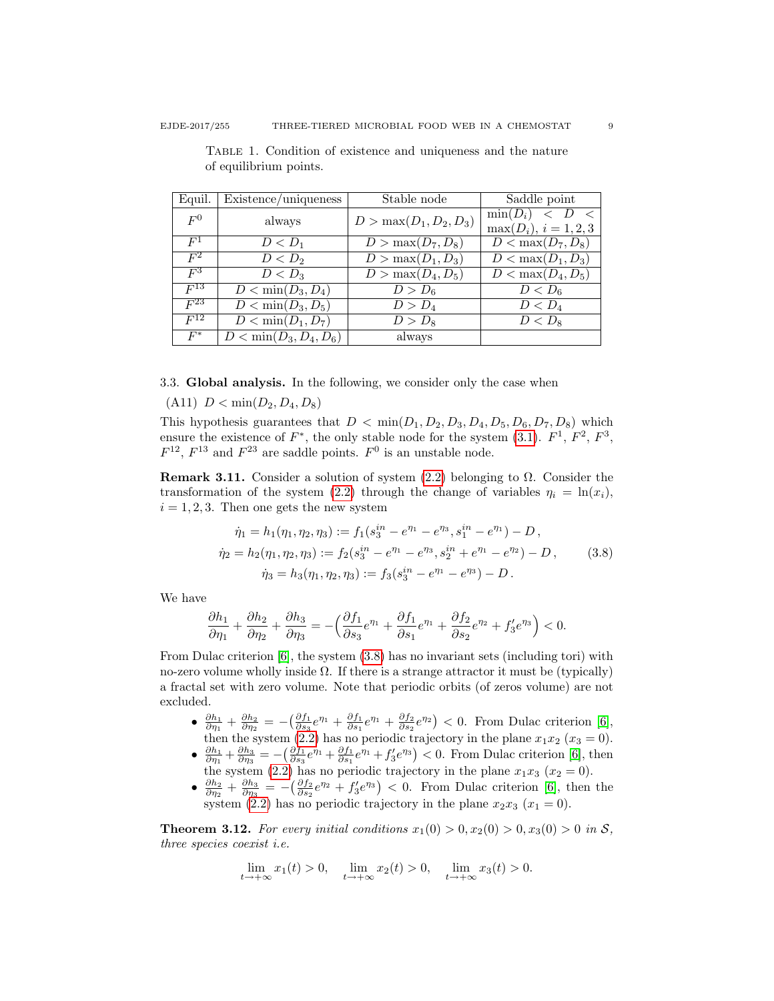| Equil.   | Existence/uniqueness                   | Stable node               | Saddle point                       |  |  |
|----------|----------------------------------------|---------------------------|------------------------------------|--|--|
| $F^0$    | always                                 | $D > \max(D_1, D_2, D_3)$ | $\min(D_i)$<br>$\langle U \rangle$ |  |  |
|          |                                        |                           | $\max(D_i), i = 1, 2, 3$           |  |  |
| $F^1$    | $D < D_1$                              | $D > \max(D_7, D_8)$      | $D < \max(D_7, D_8)$               |  |  |
| $F^2$    | $D < D_2$                              | $D > \max(D_1, D_3)$      | $D < \max(D_1, D_3)$               |  |  |
| $F^3$    | $D < D_3$                              | $D > \max(D_4, D_5)$      | $D < \max(D_4, D_5)$               |  |  |
| $F^{13}$ | $\overline{D}$ < min $(D_3, D_4)$      | $D > D_6$                 | $D < D_6$                          |  |  |
| $F^{23}$ | $D < \min(D_3, D_5)$                   | D > D <sub>4</sub>        | $D < D_4$                          |  |  |
| $F^{12}$ | $D < \min(D_1, D_7)$                   | $D > D_8$                 | $D < D_8$                          |  |  |
| $F^*$    | $\overline{D}$ < min $(D_3, D_4, D_6)$ | always                    |                                    |  |  |

<span id="page-8-0"></span>Table 1. Condition of existence and uniqueness and the nature of equilibrium points.

3.3. Global analysis. In the following, we consider only the case when

(A11)  $D < \min(D_2, D_4, D_8)$ 

This hypothesis guarantees that  $D < \min(D_1, D_2, D_3, D_4, D_5, D_6, D_7, D_8)$  which ensure the existence of  $F^*$ , the only stable node for the system [\(3.1\)](#page-3-3).  $F^1$ ,  $F^2$ ,  $F^3$ ,  $F^{12}$ ,  $F^{13}$  and  $F^{23}$  are saddle points.  $F^0$  is an unstable node.

Remark 3.11. Consider a solution of system  $(2.2)$  belonging to  $\Omega$ . Consider the transformation of the system [\(2.2\)](#page-2-0) through the change of variables  $\eta_i = \ln(x_i)$ ,  $i = 1, 2, 3$ . Then one gets the new system

<span id="page-8-1"></span>
$$
\dot{\eta}_1 = h_1(\eta_1, \eta_2, \eta_3) := f_1(s_3^{in} - e^{\eta_1} - e^{\eta_3}, s_1^{in} - e^{\eta_1}) - D,
$$
  
\n
$$
\dot{\eta}_2 = h_2(\eta_1, \eta_2, \eta_3) := f_2(s_3^{in} - e^{\eta_1} - e^{\eta_3}, s_2^{in} + e^{\eta_1} - e^{\eta_2}) - D,
$$
  
\n
$$
\dot{\eta}_3 = h_3(\eta_1, \eta_2, \eta_3) := f_3(s_3^{in} - e^{\eta_1} - e^{\eta_3}) - D.
$$
\n(3.8)

We have

$$
\frac{\partial h_1}{\partial \eta_1} + \frac{\partial h_2}{\partial \eta_2} + \frac{\partial h_3}{\partial \eta_3} = -\left(\frac{\partial f_1}{\partial s_3}e^{\eta_1} + \frac{\partial f_1}{\partial s_1}e^{\eta_1} + \frac{\partial f_2}{\partial s_2}e^{\eta_2} + f_3' e^{\eta_3}\right) < 0.
$$

From Dulac criterion [\[6\]](#page-11-6), the system [\(3.8\)](#page-8-1) has no invariant sets (including tori) with no-zero volume wholly inside  $\Omega$ . If there is a strange attractor it must be (typically) a fractal set with zero volume. Note that periodic orbits (of zeros volume) are not excluded.

- $\frac{\partial h_1}{\partial \eta_1} + \frac{\partial h_2}{\partial \eta_2} = -\left(\frac{\partial f_1}{\partial s_3}e^{\eta_1} + \frac{\partial f_1}{\partial s_1}e^{\eta_1} + \frac{\partial f_2}{\partial s_2}e^{\eta_2}\right) < 0$ . From Dulac criterion [\[6\]](#page-11-6), then the system [\(2.2\)](#page-2-0) has no periodic trajectory in the plane  $x_1x_2$  ( $x_3 = 0$ ).
- $\frac{\partial h_1}{\partial \eta_1} + \frac{\partial h_3}{\partial \eta_3} = -\left(\frac{\partial f_1}{\partial s_3}e^{\eta_1} + \frac{\partial f_1}{\partial s_1}e^{\eta_1} + f'_3e^{\eta_3}\right) < 0$ . From Dulac criterion [\[6\]](#page-11-6), then the system [\(2.2\)](#page-2-0) has no periodic trajectory in the plane  $x_1x_3$  ( $x_2 = 0$ ).
- $\frac{\partial h_2}{\partial \eta_2} + \frac{\partial h_3}{\partial \eta_3} = -\left(\frac{\partial f_2}{\partial s_2}e^{\eta_2} + f'_3e^{\eta_3}\right) < 0$ . From Dulac criterion [\[6\]](#page-11-6), then the system [\(2.2\)](#page-2-0) has no periodic trajectory in the plane  $x_2x_3$   $(x_1 = 0)$ .

**Theorem 3.12.** For every initial conditions  $x_1(0) > 0, x_2(0) > 0, x_3(0) > 0$  in S, three species coexist i.e.

$$
\lim_{t \to +\infty} x_1(t) > 0, \quad \lim_{t \to +\infty} x_2(t) > 0, \quad \lim_{t \to +\infty} x_3(t) > 0.
$$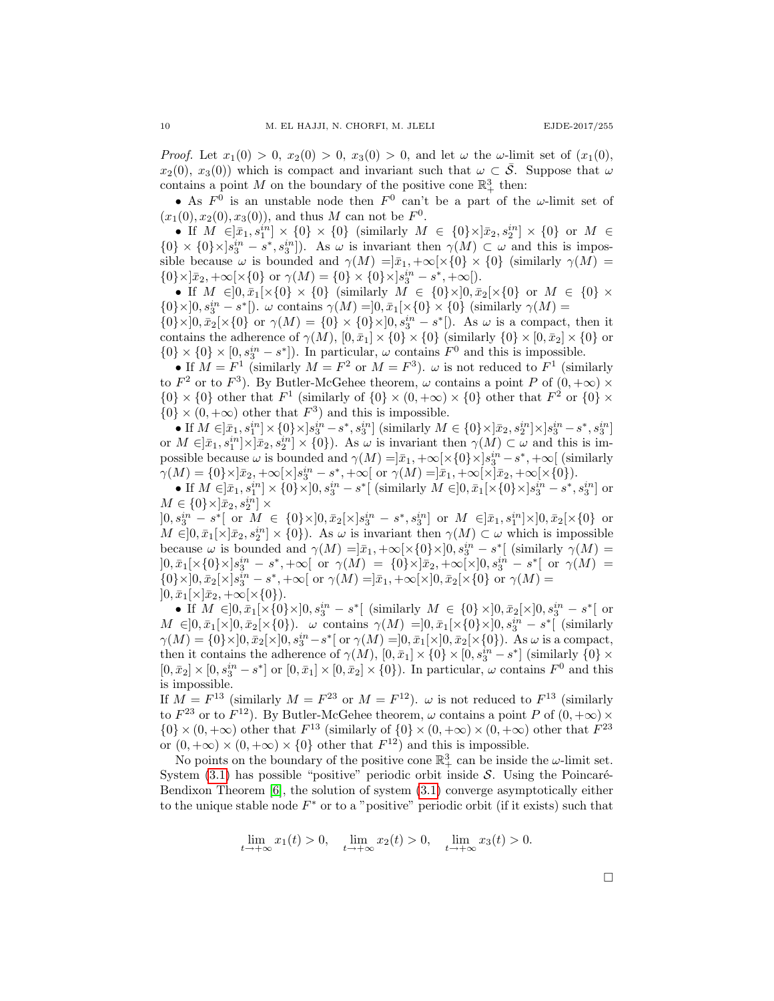*Proof.* Let  $x_1(0) > 0$ ,  $x_2(0) > 0$ ,  $x_3(0) > 0$ , and let  $\omega$  the  $\omega$ -limit set of  $(x_1(0),$  $x_2(0), x_3(0)$  which is compact and invariant such that  $\omega \subset \mathcal{S}$ . Suppose that  $\omega$ contains a point M on the boundary of the positive cone  $\mathbb{R}^3_+$  then:

• As  $F^0$  is an unstable node then  $F^0$  can't be a part of the  $\omega$ -limit set of  $(x_1(0), x_2(0), x_3(0))$ , and thus M can not be  $F^0$ .

• If  $M \in ]\bar{x}_1, s_1^{in}] \times \{0\} \times \{0\}$  (similarly  $M \in \{0\} \times ]\bar{x}_2, s_2^{in}] \times \{0\}$  or  $M \in$  ${0} \times {0} \times |s_3^{in} - s^*, s_3^{in}|$ . As  $\omega$  is invariant then  $\gamma(M) \subset \omega$  and this is impossible because  $\omega$  is bounded and  $\gamma(M) = |\bar{x}_1, +\infty[\times\{0\} \times \{0\}]$  (similarly  $\gamma(M) =$  $\{0\}\times]\bar{x}_2,+\infty[\times\{0\} \text{ or } \gamma(M)=\{0\}\times\{0\}\times]s_3^{in}-s^*,+\infty[).$ 

• If  $M \in ]0, \bar{x}_1[ \times \{0\} \times \{0\} ]$  (similarly  $M \in \{0\} \times ]0, \bar{x}_2[ \times \{0\} ]$  or  $M \in \{0\} \times ]$  ${0\}\times]0, s_3^{in}-s^*[).$   $\omega$  contains  $\gamma(M)=]0, \bar{x}_1[\times\{0\}\times\{0\}$  (similarly  $\gamma(M)=$  ${0} \times ]0, \bar{x}_2[ \times {0} ]$  or  $\gamma(M) = {0} \times {0} \times ]0, s_3^{in} - s^* ]$ . As  $\omega$  is a compact, then it contains the adherence of  $\gamma(M)$ ,  $[0, \bar{x}_1] \times \{0\} \times \{0\}$  (similarly  $\{0\} \times [0, \bar{x}_2] \times \{0\}$  or

 $\{0\} \times \{0\} \times [0, s_3^{in} - s^*]$ ). In particular,  $\omega$  contains  $F^0$  and this is impossible. • If  $M = F^1$  (similarly  $M = F^2$  or  $M = F^3$ ).  $\omega$  is not reduced to  $F^1$  (similarly to  $F^2$  or to  $F^3$ ). By Butler-McGehee theorem,  $\omega$  contains a point P of  $(0, +\infty) \times$  $\{0\} \times \{0\}$  other that  $F^1$  (similarly of  $\{0\} \times (0, +\infty) \times \{0\}$  other that  $F^2$  or  $\{0\} \times$  $\{0\} \times (0, +\infty)$  other that  $F^3$  and this is impossible.

• If  $M \in ]\bar{x}_1,s^{in}_1] \times \{0\} \times ]s^{in}_3 - s^*,s^{in}_3]$  (similarly  $M \in \{0\} \times ]\bar{x}_2,s^{in}_2] \times ]s^{in}_3 - s^*,s^{in}_3]$ or  $M \in ]\bar{x}_1, s_1^{in}] \times [\bar{x}_2, s_2^{in}] \times \{0\}$ . As  $\omega$  is invariant then  $\gamma(M) \subset \omega$  and this is impossible because  $\omega$  is bounded and  $\gamma(M) = ]\bar{x}_1, +\infty[\times\{0\}\times]s_3^{in} - s^*, +\infty[$  (similarly  $\gamma(M) = \{0\} \times [\bar{x}_2, +\infty[\times] s_3^{in} - s^*, +\infty[ \text{ or } \gamma(M) = ]\bar{x}_1, +\infty[\times] \bar{x}_2, +\infty[\times \{0\}).$ 

• If  $M \in ]\bar{x}_1, s_1^{in}] \times \{0\} \times ]0, s_3^{in} - s^*[$  (similarly  $M \in ]0, \bar{x}_1[ \times \{0\} \times ]s_3^{in} - s^*, s_3^{in}]$  or  $M \in \{0\} \times ]\bar{x}_2, s_2^{in}] \times$ 

 $]0, s_3^{in} - s^*[$  or  $M \in \{0\} \times ]0, \bar{x}_2[\times] s_3^{in} - s^*, s_3^{in}]$  or  $M \in ]\bar{x}_1, s_1^{in}] \times ]0, \bar{x}_2[\times \{0\}$  or  $M \in ]0, \bar{x}_1[\times]\bar{x}_2, s_2^{in}] \times \{0\}$ . As  $\omega$  is invariant then  $\gamma(M) \subset \omega$  which is impossible because  $\omega$  is bounded and  $\gamma(M) = ]\bar{x}_1, +\infty[\times\{0\}\times]0, s_3^{in} - s^*$  (similarly  $\gamma(M) =$  $]0, \bar{x}_1[\times \{0\} \times ]s_3^{in} - s^*, +\infty[ \ \ \text{or} \ \ \gamma(M) \ = \ 0 \} \times ]\bar{x}_2, +\infty[\times ]0, s_3^{in} - s^*[ \ \ \text{or} \ \ \gamma(M) \ =$  ${0} \times ]0, \bar{x}_2[ \times ] s_3^{in} - s^*, + \infty[ \text{ or } \gamma(M) = ]\bar{x}_1, + \infty[ \times ]0, \bar{x}_2[ \times \{0\} \text{ or } \gamma(M) =$  $]0,\bar{x}_1[\times]\bar{x}_2,+\infty[\times\{0\}).$ 

• If  $M \in ]0, \bar{x}_1[\times \{0\} \times ]0, s_3^{in} - s^*[$  (similarly  $M \in \{0\} \times ]0, \bar{x}_2[\times ]0, s_3^{in} - s^*[$  or  $M \in ]0, \bar{x}_1[\times]0, \bar{x}_2[\times{0}])$ .  $\omega$  contains  $\gamma(M) = ]0, \bar{x}_1[\times{0} \times ]0, s_3^{in} - s^*[$  (similarly  $\gamma(M) = \{0\} \times ]0, \bar{x}_2[ \times ]0, s_3^{in} - s^*[$  or  $\gamma(M) = ]0, \bar{x}_1[ \times ]0, \bar{x}_2[ \times \{0\}).$  As  $\omega$  is a compact, then it contains the adherence of  $\gamma(M)$ ,  $[0, \bar{x}_1] \times \{0\} \times [0, s_3^{in} - s^*]$  (similarly  $\{0\} \times$  $[0, \bar{x}_2] \times [0, s_3^{in} - s^*]$  or  $[0, \bar{x}_1] \times [0, \bar{x}_2] \times \{0\}$ . In particular,  $\omega$  contains  $F^0$  and this is impossible.

If  $M = F^{13}$  (similarly  $M = F^{23}$  or  $M = F^{12}$ ).  $\omega$  is not reduced to  $F^{13}$  (similarly to  $F^{23}$  or to  $F^{12}$ ). By Butler-McGehee theorem,  $\omega$  contains a point P of  $(0, +\infty) \times$  $\{0\} \times (0, +\infty)$  other that  $F^{13}$  (similarly of  $\{0\} \times (0, +\infty) \times (0, +\infty)$  other that  $F^{23}$ or  $(0, +\infty) \times (0, +\infty) \times \{0\}$  other that  $F^{12}$  and this is impossible.

No points on the boundary of the positive cone  $\mathbb{R}^3_+$  can be inside the  $\omega$ -limit set. System  $(3.1)$  has possible "positive" periodic orbit inside S. Using the Poincaré-Bendixon Theorem [\[6\]](#page-11-6), the solution of system [\(3.1\)](#page-3-3) converge asymptotically either to the unique stable node  $F^*$  or to a "positive" periodic orbit (if it exists) such that

 $\lim_{t \to +\infty} x_1(t) > 0$ ,  $\lim_{t \to +\infty} x_2(t) > 0$ ,  $\lim_{t \to +\infty} x_3(t) > 0$ .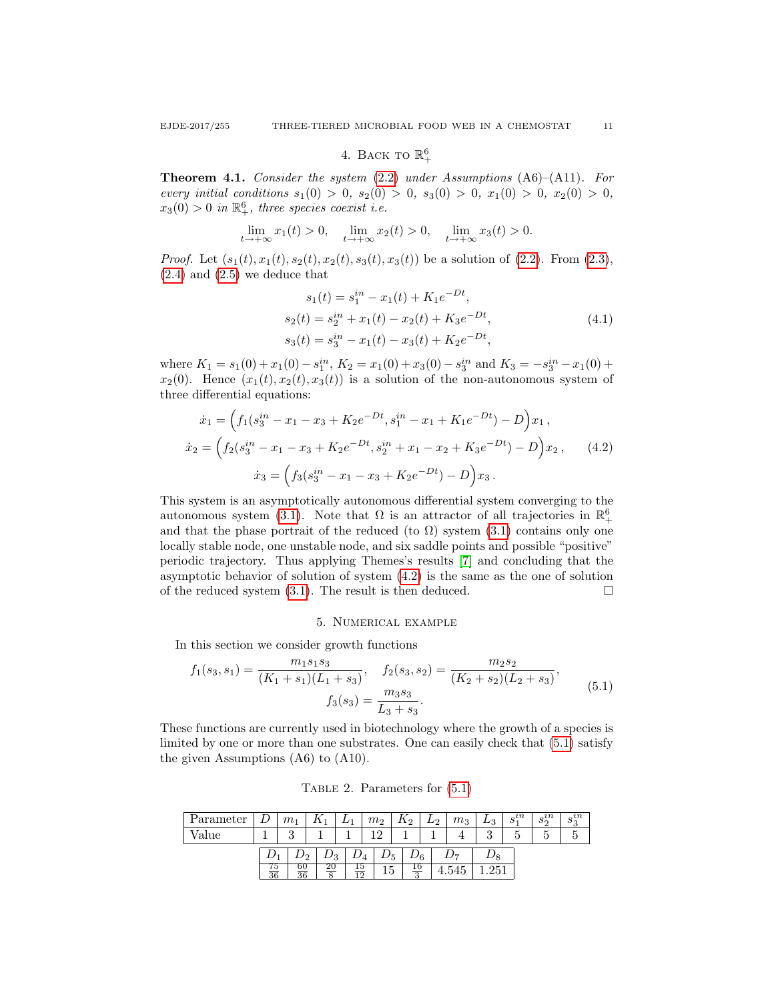# 4. BACK TO  $\mathbb{R}^6_+$

Theorem 4.1. Consider the system [\(2.2\)](#page-2-0) under Assumptions (A6)–(A11). For every initial conditions  $s_1(0) > 0$ ,  $s_2(0) > 0$ ,  $s_3(0) > 0$ ,  $x_1(0) > 0$ ,  $x_2(0) > 0$ ,  $x_3(0) > 0$  in  $\mathbb{R}^6_+$ , three species coexist i.e.

$$
\lim_{t \to +\infty} x_1(t) > 0, \quad \lim_{t \to +\infty} x_2(t) > 0, \quad \lim_{t \to +\infty} x_3(t) > 0.
$$

*Proof.* Let  $(s_1(t), x_1(t), s_2(t), x_2(t), s_3(t), x_3(t))$  be a solution of  $(2.2)$ . From  $(2.3)$ ,  $(2.4)$  and  $(2.5)$  we deduce that

$$
s_1(t) = s_1^{in} - x_1(t) + K_1 e^{-Dt},
$$
  
\n
$$
s_2(t) = s_2^{in} + x_1(t) - x_2(t) + K_3 e^{-Dt},
$$
  
\n
$$
s_3(t) = s_3^{in} - x_1(t) - x_3(t) + K_2 e^{-Dt},
$$
\n(4.1)

where  $K_1 = s_1(0) + x_1(0) - s_1^{in}$ ,  $K_2 = x_1(0) + x_3(0) - s_3^{in}$  and  $K_3 = -s_3^{in} - x_1(0) +$  $x_2(0)$ . Hence  $(x_1(t), x_2(t), x_3(t))$  is a solution of the non-autonomous system of three differential equations:

<span id="page-10-0"></span>
$$
\dot{x}_1 = \left( f_1(s_3^{in} - x_1 - x_3 + K_2 e^{-Dt}, s_1^{in} - x_1 + K_1 e^{-Dt}) - D \right) x_1,
$$
  
\n
$$
\dot{x}_2 = \left( f_2(s_3^{in} - x_1 - x_3 + K_2 e^{-Dt}, s_2^{in} + x_1 - x_2 + K_3 e^{-Dt}) - D \right) x_2,
$$
  
\n
$$
\dot{x}_3 = \left( f_3(s_3^{in} - x_1 - x_3 + K_2 e^{-Dt}) - D \right) x_3.
$$
\n(4.2)

This system is an asymptotically autonomous differential system converging to the autonomous system [\(3.1\)](#page-3-3). Note that  $\Omega$  is an attractor of all trajectories in  $\mathbb{R}^6_+$ and that the phase portrait of the reduced (to  $\Omega$ ) system [\(3.1\)](#page-3-3) contains only one locally stable node, one unstable node, and six saddle points and possible "positive" periodic trajectory. Thus applying Themes's results [\[7\]](#page-11-4) and concluding that the asymptotic behavior of solution of system [\(4.2\)](#page-10-0) is the same as the one of solution of the reduced system  $(3.1)$ . The result is then deduced.

#### 5. Numerical example

In this section we consider growth functions

<span id="page-10-1"></span>
$$
f_1(s_3, s_1) = \frac{m_1 s_1 s_3}{(K_1 + s_1)(L_1 + s_3)}, \quad f_2(s_3, s_2) = \frac{m_2 s_2}{(K_2 + s_2)(L_2 + s_3)},
$$

$$
f_3(s_3) = \frac{m_3 s_3}{L_3 + s_3}.
$$
(5.1)

These functions are currently used in biotechnology where the growth of a species is limited by one or more than one substrates. One can easily check that [\(5.1\)](#page-10-1) satisfy the given Assumptions (A6) to (A10).

Table 2. Parameters for [\(5.1\)](#page-10-1)

| Parameter |                | m <sub>1</sub> | 17      | ∸                    | m <sub>2</sub> | $n_2$          | $L_2$ | m <sub>3</sub>           | $L_3$    | $s_i^{in}$ | $s_{\alpha}^{in}$ | $\alpha$<br>ಲ<br>Ω |
|-----------|----------------|----------------|---------|----------------------|----------------|----------------|-------|--------------------------|----------|------------|-------------------|--------------------|
| value     |                | ച              |         |                      | 1 ດ            |                |       |                          | $\Omega$ |            |                   |                    |
|           |                |                | $\nu_3$ | $\nu_4$              | $\nu_5$        |                | 6'    | $\overline{\phantom{a}}$ |          |            |                   |                    |
|           | 75<br>$\Omega$ | 60<br>36       | 20      | Ţр<br>$\overline{1}$ | ⊥∪             | 16<br>$\Omega$ |       | ΞU                       |          |            |                   |                    |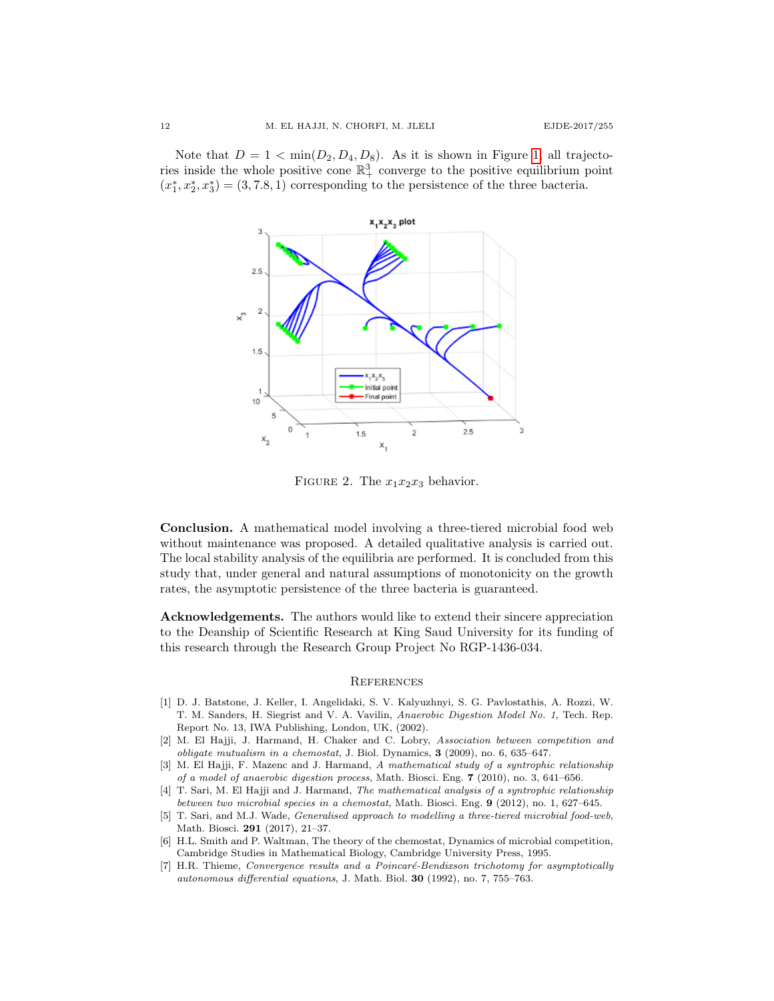Note that  $D = 1 < \min(D_2, D_4, D_8)$ . As it is shown in Figure [1,](#page-1-1) all trajectories inside the whole positive cone  $\mathbb{R}^3_+$  converge to the positive equilibrium point  $(x_1^*, x_2^*, x_3^*) = (3, 7.8, 1)$  corresponding to the persistence of the three bacteria.



FIGURE 2. The  $x_1x_2x_3$  behavior.

Conclusion. A mathematical model involving a three-tiered microbial food web without maintenance was proposed. A detailed qualitative analysis is carried out. The local stability analysis of the equilibria are performed. It is concluded from this study that, under general and natural assumptions of monotonicity on the growth rates, the asymptotic persistence of the three bacteria is guaranteed.

Acknowledgements. The authors would like to extend their sincere appreciation to the Deanship of Scientific Research at King Saud University for its funding of this research through the Research Group Project No RGP-1436-034.

#### **REFERENCES**

- <span id="page-11-0"></span>[1] D. J. Batstone, J. Keller, I. Angelidaki, S. V. Kalyuzhnyi, S. G. Pavlostathis, A. Rozzi, W. T. M. Sanders, H. Siegrist and V. A. Vavilin, Anaerobic Digestion Model No. 1, Tech. Rep. Report No. 13, IWA Publishing, London, UK, (2002).
- <span id="page-11-5"></span>[2] M. El Hajji, J. Harmand, H. Chaker and C. Lobry, Association between competition and *obligate mutualism in a chemostat*, J. Biol. Dynamics,  $3$  (2009), no. 6, 635–647.
- <span id="page-11-2"></span>[3] M. El Hajji, F. Mazenc and J. Harmand, A mathematical study of a syntrophic relationship of a model of anaerobic digestion process, Math. Biosci. Eng. 7 (2010), no. 3, 641–656.
- <span id="page-11-3"></span>[4] T. Sari, M. El Hajji and J. Harmand, The mathematical analysis of a syntrophic relationship between two microbial species in a chemostat, Math. Biosci. Eng. 9 (2012), no. 1, 627–645.
- <span id="page-11-1"></span>[5] T. Sari, and M.J. Wade, Generalised approach to modelling a three-tiered microbial food-web, Math. Biosci. 291 (2017), 21–37.
- <span id="page-11-6"></span>[6] H.L. Smith and P. Waltman, The theory of the chemostat, Dynamics of microbial competition, Cambridge Studies in Mathematical Biology, Cambridge University Press, 1995.
- <span id="page-11-4"></span>[7] H.R. Thieme, Convergence results and a Poincaré-Bendixson trichotomy for asymptotically autonomous differential equations, J. Math. Biol. 30 (1992), no. 7, 755–763.